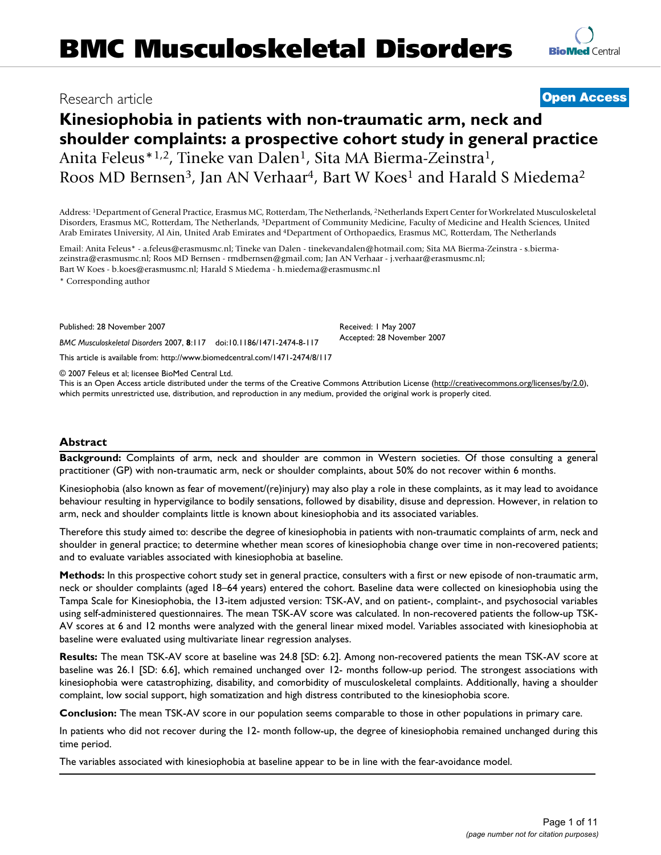## Research article **[Open Access](http://www.biomedcentral.com/info/about/charter/)**

# **Kinesiophobia in patients with non-traumatic arm, neck and shoulder complaints: a prospective cohort study in general practice** Anita Feleus<sup>\*1,2</sup>, Tineke van Dalen<sup>1</sup>, Sita MA Bierma-Zeinstra<sup>1</sup>, Roos MD Bernsen<sup>3</sup>, Jan AN Verhaar<sup>4</sup>, Bart W Koes<sup>1</sup> and Harald S Miedema<sup>2</sup>

Address: 1Department of General Practice, Erasmus MC, Rotterdam, The Netherlands, 2Netherlands Expert Center for Workrelated Musculoskeletal Disorders, Erasmus MC, Rotterdam, The Netherlands, 3Department of Community Medicine, Faculty of Medicine and Health Sciences, United Arab Emirates University, Al Ain, United Arab Emirates and 4Department of Orthopaedics, Erasmus MC, Rotterdam, The Netherlands

Email: Anita Feleus\* - a.feleus@erasmusmc.nl; Tineke van Dalen - tinekevandalen@hotmail.com; Sita MA Bierma-Zeinstra - s.biermazeinstra@erasmusmc.nl; Roos MD Bernsen - rmdbernsen@gmail.com; Jan AN Verhaar - j.verhaar@erasmusmc.nl; Bart W Koes - b.koes@erasmusmc.nl; Harald S Miedema - h.miedema@erasmusmc.nl

\* Corresponding author

Published: 28 November 2007

*BMC Musculoskeletal Disorders* 2007, **8**:117 doi:10.1186/1471-2474-8-117

[This article is available from: http://www.biomedcentral.com/1471-2474/8/117](http://www.biomedcentral.com/1471-2474/8/117)

© 2007 Feleus et al; licensee BioMed Central Ltd.

This is an Open Access article distributed under the terms of the Creative Commons Attribution License [\(http://creativecommons.org/licenses/by/2.0\)](http://creativecommons.org/licenses/by/2.0), which permits unrestricted use, distribution, and reproduction in any medium, provided the original work is properly cited.

Received: 1 May 2007 Accepted: 28 November 2007

## **Abstract**

**Background:** Complaints of arm, neck and shoulder are common in Western societies. Of those consulting a general practitioner (GP) with non-traumatic arm, neck or shoulder complaints, about 50% do not recover within 6 months.

Kinesiophobia (also known as fear of movement/(re)injury) may also play a role in these complaints, as it may lead to avoidance behaviour resulting in hypervigilance to bodily sensations, followed by disability, disuse and depression. However, in relation to arm, neck and shoulder complaints little is known about kinesiophobia and its associated variables.

Therefore this study aimed to: describe the degree of kinesiophobia in patients with non-traumatic complaints of arm, neck and shoulder in general practice; to determine whether mean scores of kinesiophobia change over time in non-recovered patients; and to evaluate variables associated with kinesiophobia at baseline.

**Methods:** In this prospective cohort study set in general practice, consulters with a first or new episode of non-traumatic arm, neck or shoulder complaints (aged 18–64 years) entered the cohort. Baseline data were collected on kinesiophobia using the Tampa Scale for Kinesiophobia, the 13-item adjusted version: TSK-AV, and on patient-, complaint-, and psychosocial variables using self-administered questionnaires. The mean TSK-AV score was calculated. In non-recovered patients the follow-up TSK-AV scores at 6 and 12 months were analyzed with the general linear mixed model. Variables associated with kinesiophobia at baseline were evaluated using multivariate linear regression analyses.

**Results:** The mean TSK-AV score at baseline was 24.8 [SD: 6.2]. Among non-recovered patients the mean TSK-AV score at baseline was 26.1 [SD: 6.6], which remained unchanged over 12- months follow-up period. The strongest associations with kinesiophobia were catastrophizing, disability, and comorbidity of musculoskeletal complaints. Additionally, having a shoulder complaint, low social support, high somatization and high distress contributed to the kinesiophobia score.

**Conclusion:** The mean TSK-AV score in our population seems comparable to those in other populations in primary care.

In patients who did not recover during the 12- month follow-up, the degree of kinesiophobia remained unchanged during this time period.

The variables associated with kinesiophobia at baseline appear to be in line with the fear-avoidance model.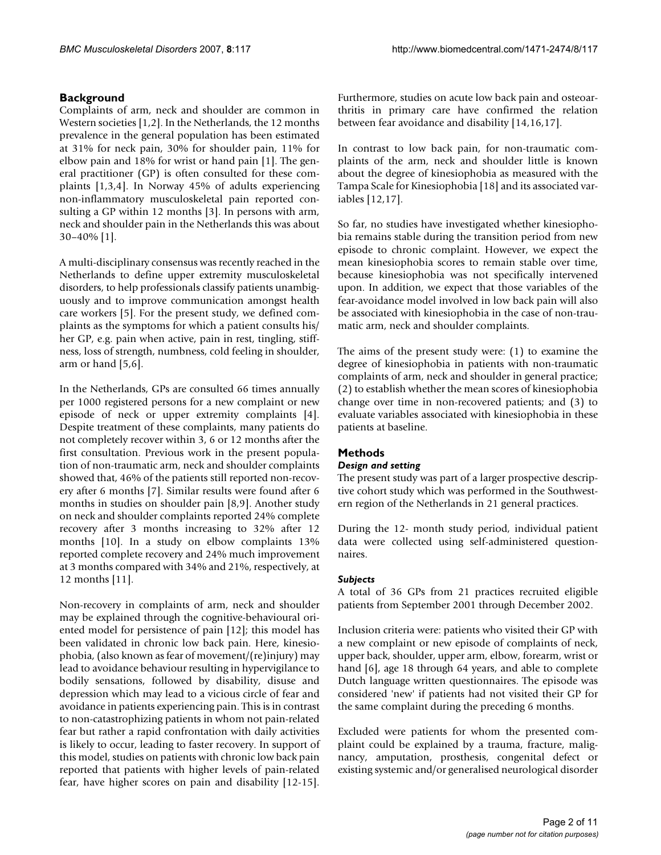## **Background**

Complaints of arm, neck and shoulder are common in Western societies [1,2]. In the Netherlands, the 12 months prevalence in the general population has been estimated at 31% for neck pain, 30% for shoulder pain, 11% for elbow pain and 18% for wrist or hand pain [1]. The general practitioner (GP) is often consulted for these complaints [1,3,4]. In Norway 45% of adults experiencing non-inflammatory musculoskeletal pain reported consulting a GP within 12 months [3]. In persons with arm, neck and shoulder pain in the Netherlands this was about 30–40% [1].

A multi-disciplinary consensus was recently reached in the Netherlands to define upper extremity musculoskeletal disorders, to help professionals classify patients unambiguously and to improve communication amongst health care workers [5]. For the present study, we defined complaints as the symptoms for which a patient consults his/ her GP, e.g. pain when active, pain in rest, tingling, stiffness, loss of strength, numbness, cold feeling in shoulder, arm or hand [5,6].

In the Netherlands, GPs are consulted 66 times annually per 1000 registered persons for a new complaint or new episode of neck or upper extremity complaints [4]. Despite treatment of these complaints, many patients do not completely recover within 3, 6 or 12 months after the first consultation. Previous work in the present population of non-traumatic arm, neck and shoulder complaints showed that, 46% of the patients still reported non-recovery after 6 months [7]. Similar results were found after 6 months in studies on shoulder pain [8,9]. Another study on neck and shoulder complaints reported 24% complete recovery after 3 months increasing to 32% after 12 months [10]. In a study on elbow complaints 13% reported complete recovery and 24% much improvement at 3 months compared with 34% and 21%, respectively, at 12 months [11].

Non-recovery in complaints of arm, neck and shoulder may be explained through the cognitive-behavioural oriented model for persistence of pain [12]; this model has been validated in chronic low back pain. Here, kinesiophobia, (also known as fear of movement/(re)injury) may lead to avoidance behaviour resulting in hypervigilance to bodily sensations, followed by disability, disuse and depression which may lead to a vicious circle of fear and avoidance in patients experiencing pain. This is in contrast to non-catastrophizing patients in whom not pain-related fear but rather a rapid confrontation with daily activities is likely to occur, leading to faster recovery. In support of this model, studies on patients with chronic low back pain reported that patients with higher levels of pain-related fear, have higher scores on pain and disability [12-15].

Furthermore, studies on acute low back pain and osteoarthritis in primary care have confirmed the relation between fear avoidance and disability [14,16,17].

In contrast to low back pain, for non-traumatic complaints of the arm, neck and shoulder little is known about the degree of kinesiophobia as measured with the Tampa Scale for Kinesiophobia [18] and its associated variables [12,17].

So far, no studies have investigated whether kinesiophobia remains stable during the transition period from new episode to chronic complaint. However, we expect the mean kinesiophobia scores to remain stable over time, because kinesiophobia was not specifically intervened upon. In addition, we expect that those variables of the fear-avoidance model involved in low back pain will also be associated with kinesiophobia in the case of non-traumatic arm, neck and shoulder complaints.

The aims of the present study were: (1) to examine the degree of kinesiophobia in patients with non-traumatic complaints of arm, neck and shoulder in general practice; (2) to establish whether the mean scores of kinesiophobia change over time in non-recovered patients; and (3) to evaluate variables associated with kinesiophobia in these patients at baseline.

## **Methods**

## *Design and setting*

The present study was part of a larger prospective descriptive cohort study which was performed in the Southwestern region of the Netherlands in 21 general practices.

During the 12- month study period, individual patient data were collected using self-administered questionnaires.

## *Subjects*

A total of 36 GPs from 21 practices recruited eligible patients from September 2001 through December 2002.

Inclusion criteria were: patients who visited their GP with a new complaint or new episode of complaints of neck, upper back, shoulder, upper arm, elbow, forearm, wrist or hand [6], age 18 through 64 years, and able to complete Dutch language written questionnaires. The episode was considered 'new' if patients had not visited their GP for the same complaint during the preceding 6 months.

Excluded were patients for whom the presented complaint could be explained by a trauma, fracture, malignancy, amputation, prosthesis, congenital defect or existing systemic and/or generalised neurological disorder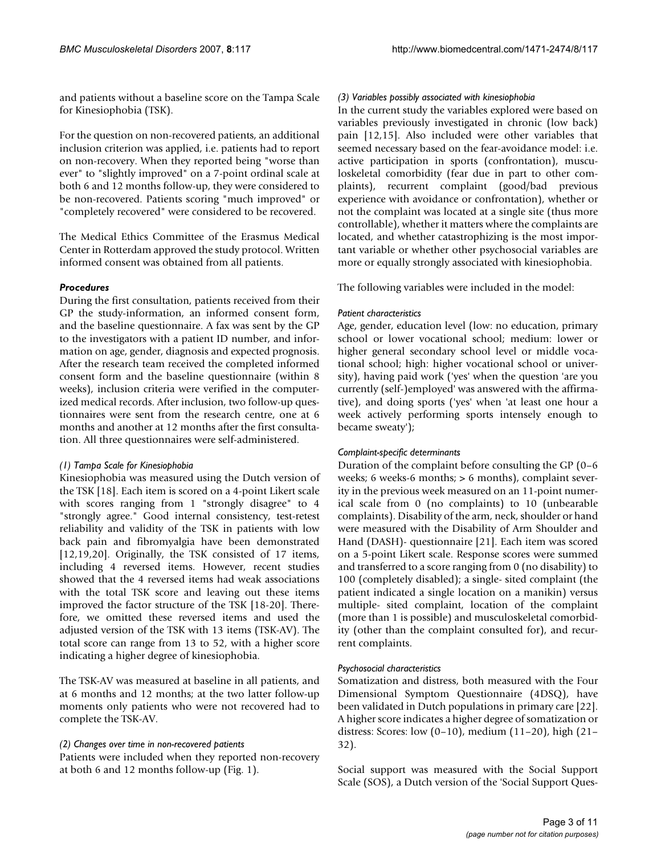and patients without a baseline score on the Tampa Scale for Kinesiophobia (TSK).

For the question on non-recovered patients, an additional inclusion criterion was applied, i.e. patients had to report on non-recovery. When they reported being "worse than ever" to "slightly improved" on a 7-point ordinal scale at both 6 and 12 months follow-up, they were considered to be non-recovered. Patients scoring "much improved" or "completely recovered" were considered to be recovered.

The Medical Ethics Committee of the Erasmus Medical Center in Rotterdam approved the study protocol. Written informed consent was obtained from all patients.

## *Procedures*

During the first consultation, patients received from their GP the study-information, an informed consent form, and the baseline questionnaire. A fax was sent by the GP to the investigators with a patient ID number, and information on age, gender, diagnosis and expected prognosis. After the research team received the completed informed consent form and the baseline questionnaire (within 8 weeks), inclusion criteria were verified in the computerized medical records. After inclusion, two follow-up questionnaires were sent from the research centre, one at 6 months and another at 12 months after the first consultation. All three questionnaires were self-administered.

## *(1) Tampa Scale for Kinesiophobia*

Kinesiophobia was measured using the Dutch version of the TSK [18]. Each item is scored on a 4-point Likert scale with scores ranging from 1 "strongly disagree" to 4 "strongly agree." Good internal consistency, test-retest reliability and validity of the TSK in patients with low back pain and fibromyalgia have been demonstrated [12,19,20]. Originally, the TSK consisted of 17 items, including 4 reversed items. However, recent studies showed that the 4 reversed items had weak associations with the total TSK score and leaving out these items improved the factor structure of the TSK [18-20]. Therefore, we omitted these reversed items and used the adjusted version of the TSK with 13 items (TSK-AV). The total score can range from 13 to 52, with a higher score indicating a higher degree of kinesiophobia.

The TSK-AV was measured at baseline in all patients, and at 6 months and 12 months; at the two latter follow-up moments only patients who were not recovered had to complete the TSK-AV.

#### *(2) Changes over time in non-recovered patients*

Patients were included when they reported non-recovery at both 6 and 12 months follow-up (Fig. 1).

### *(3) Variables possibly associated with kinesiophobia*

In the current study the variables explored were based on variables previously investigated in chronic (low back) pain [12,15]. Also included were other variables that seemed necessary based on the fear-avoidance model: i.e. active participation in sports (confrontation), musculoskeletal comorbidity (fear due in part to other complaints), recurrent complaint (good/bad previous experience with avoidance or confrontation), whether or not the complaint was located at a single site (thus more controllable), whether it matters where the complaints are located, and whether catastrophizing is the most important variable or whether other psychosocial variables are more or equally strongly associated with kinesiophobia.

The following variables were included in the model:

## *Patient characteristics*

Age, gender, education level (low: no education, primary school or lower vocational school; medium: lower or higher general secondary school level or middle vocational school; high: higher vocational school or university), having paid work ('yes' when the question 'are you currently (self-)employed' was answered with the affirmative), and doing sports ('yes' when 'at least one hour a week actively performing sports intensely enough to became sweaty');

## *Complaint-specific determinants*

Duration of the complaint before consulting the GP (0–6 weeks; 6 weeks-6 months; > 6 months), complaint severity in the previous week measured on an 11-point numerical scale from 0 (no complaints) to 10 (unbearable complaints). Disability of the arm, neck, shoulder or hand were measured with the Disability of Arm Shoulder and Hand (DASH)- questionnaire [21]. Each item was scored on a 5-point Likert scale. Response scores were summed and transferred to a score ranging from 0 (no disability) to 100 (completely disabled); a single- sited complaint (the patient indicated a single location on a manikin) versus multiple- sited complaint, location of the complaint (more than 1 is possible) and musculoskeletal comorbidity (other than the complaint consulted for), and recurrent complaints.

## *Psychosocial characteristics*

Somatization and distress, both measured with the Four Dimensional Symptom Questionnaire (4DSQ), have been validated in Dutch populations in primary care [22]. A higher score indicates a higher degree of somatization or distress: Scores: low (0–10), medium (11–20), high (21– 32).

Social support was measured with the Social Support Scale (SOS), a Dutch version of the 'Social Support Ques-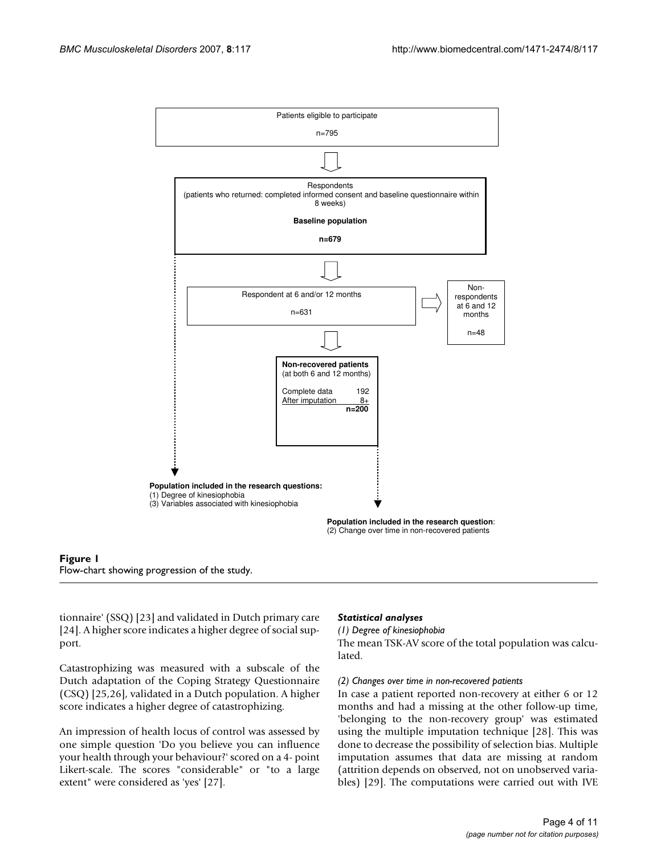



tionnaire' (SSQ) [23] and validated in Dutch primary care [24]. A higher score indicates a higher degree of social support.

Catastrophizing was measured with a subscale of the Dutch adaptation of the Coping Strategy Questionnaire (CSQ) [25,26], validated in a Dutch population. A higher score indicates a higher degree of catastrophizing.

An impression of health locus of control was assessed by one simple question 'Do you believe you can influence your health through your behaviour?' scored on a 4- point Likert-scale. The scores "considerable" or "to a large extent" were considered as 'yes' [27].

#### *Statistical analyses*

*(1) Degree of kinesiophobia*

The mean TSK-AV score of the total population was calculated.

#### *(2) Changes over time in non-recovered patients*

In case a patient reported non-recovery at either 6 or 12 months and had a missing at the other follow-up time, 'belonging to the non-recovery group' was estimated using the multiple imputation technique [28]. This was done to decrease the possibility of selection bias. Multiple imputation assumes that data are missing at random (attrition depends on observed, not on unobserved variables) [29]. The computations were carried out with IVE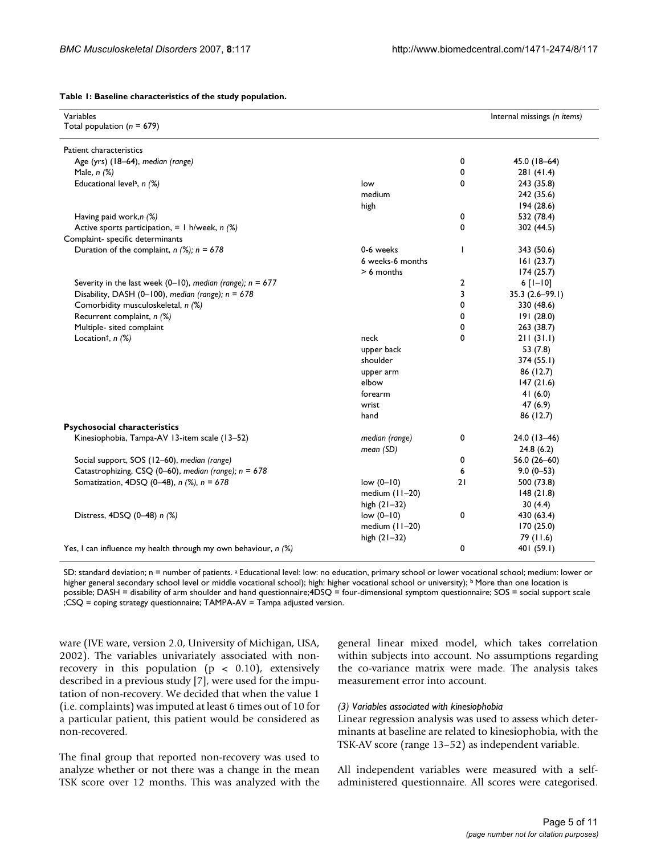| Variables<br>Total population ( $n = 679$ )                    |                  |                | Internal missings (n items) |
|----------------------------------------------------------------|------------------|----------------|-----------------------------|
| Patient characteristics                                        |                  |                |                             |
| Age (yrs) (18-64), median (range)                              |                  | 0              | 45.0 (18-64)                |
| Male, $n$ $%$                                                  |                  | 0              | 281(41.4)                   |
| Educational level <sup>a</sup> , $n$ (%)                       | low              | 0              | 243 (35.8)                  |
|                                                                | medium           |                | 242 (35.6)                  |
|                                                                | high             |                | 194(28.6)                   |
| Having paid work,n (%)                                         |                  | 0              | 532 (78.4)                  |
| Active sports participation, $= 1$ h/week, n (%)               |                  | 0              | 302 (44.5)                  |
| Complaint- specific determinants                               |                  |                |                             |
| Duration of the complaint, $n$ (%); $n = 678$                  | 0-6 weeks        | T              | 343 (50.6)                  |
|                                                                | 6 weeks-6 months |                | 161(23.7)                   |
|                                                                | > 6 months       |                | 174(25.7)                   |
| Severity in the last week (0-10), median (range); $n = 677$    |                  | $\overline{2}$ | $6$ [ $1 - 10$ ]            |
| Disability, DASH (0-100), median (range); $n = 678$            |                  | 3              | $35.3(2.6 - 99.1)$          |
| Comorbidity musculoskeletal, n (%)                             |                  | 0              | 330 (48.6)                  |
| Recurrent complaint, n (%)                                     |                  | 0              | 191 (28.0)                  |
| Multiple- sited complaint                                      |                  | 0              | 263 (38.7)                  |
| Location <sup>†</sup> , $n$ (%)                                | neck             | 0              | 211(31.1)                   |
|                                                                | upper back       |                | 53 (7.8)                    |
|                                                                | shoulder         |                | 374(55.1)                   |
|                                                                | upper arm        |                | 86 (12.7)                   |
|                                                                | elbow            |                | 147(21.6)                   |
|                                                                | forearm          |                | 41(6.0)                     |
|                                                                | wrist            |                | 47(6.9)                     |
|                                                                | hand             |                | 86 (12.7)                   |
| <b>Psychosocial characteristics</b>                            |                  |                |                             |
| Kinesiophobia, Tampa-AV 13-item scale (13-52)                  | median (range)   | 0              | $24.0(13-46)$               |
|                                                                | mean(SD)         |                | 24.8(6.2)                   |
| Social support, SOS (12-60), median (range)                    |                  | 0              | 56.0 $(26 - 60)$            |
| Catastrophizing, CSQ (0-60), median (range); n = 678           |                  | 6              | $9.0(0-53)$                 |
| Somatization, 4DSQ (0-48), n (%), n = 678                      | $low (0 - 10)$   | 21             | 500 (73.8)                  |
|                                                                | medium $(11-20)$ |                | 148(21.8)                   |
|                                                                | high (21-32)     |                | 30(4.4)                     |
| Distress, 4DSQ (0-48) n (%)                                    | $low (0-10)$     | 0              | 430 (63.4)                  |
|                                                                | medium $(11-20)$ |                | 170(25.0)                   |
|                                                                | high (21-32)     |                | 79 (11.6)                   |
| Yes, I can influence my health through my own behaviour, n (%) |                  | 0              | 401 (59.1)                  |

**Table 1: Baseline characteristics of the study population.**

SD: standard deviation; n = number of patients. a Educational level: low: no education, primary school or lower vocational school; medium: lower or higher general secondary school level or middle vocational school); high: higher vocational school or university); <sup>b</sup> More than one location is possible; DASH = disability of arm shoulder and hand questionnaire;4DSQ = four-dimensional symptom questionnaire; SOS = social support scale ;CSQ = coping strategy questionnaire; TAMPA-AV = Tampa adjusted version.

ware (IVE ware, version 2.0, University of Michigan, USA, 2002). The variables univariately associated with nonrecovery in this population ( $p < 0.10$ ), extensively described in a previous study [7], were used for the imputation of non-recovery. We decided that when the value 1 (i.e. complaints) was imputed at least 6 times out of 10 for a particular patient, this patient would be considered as non-recovered.

The final group that reported non-recovery was used to analyze whether or not there was a change in the mean TSK score over 12 months. This was analyzed with the general linear mixed model, which takes correlation within subjects into account. No assumptions regarding the co-variance matrix were made. The analysis takes measurement error into account.

#### *(3) Variables associated with kinesiophobia*

Linear regression analysis was used to assess which determinants at baseline are related to kinesiophobia, with the TSK-AV score (range 13–52) as independent variable.

All independent variables were measured with a selfadministered questionnaire. All scores were categorised.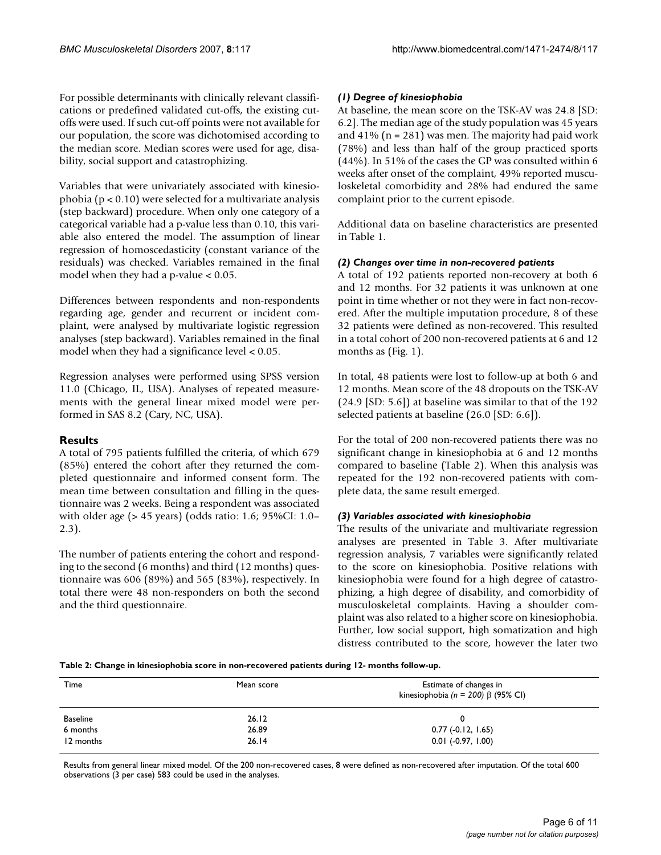For possible determinants with clinically relevant classifications or predefined validated cut-offs, the existing cutoffs were used. If such cut-off points were not available for our population, the score was dichotomised according to the median score. Median scores were used for age, disability, social support and catastrophizing.

Variables that were univariately associated with kinesiophobia (p < 0.10) were selected for a multivariate analysis (step backward) procedure. When only one category of a categorical variable had a p-value less than 0.10, this variable also entered the model. The assumption of linear regression of homoscedasticity (constant variance of the residuals) was checked. Variables remained in the final model when they had a p-value < 0.05.

Differences between respondents and non-respondents regarding age, gender and recurrent or incident complaint, were analysed by multivariate logistic regression analyses (step backward). Variables remained in the final model when they had a significance level < 0.05.

Regression analyses were performed using SPSS version 11.0 (Chicago, IL, USA). Analyses of repeated measurements with the general linear mixed model were performed in SAS 8.2 (Cary, NC, USA).

## **Results**

A total of 795 patients fulfilled the criteria, of which 679 (85%) entered the cohort after they returned the completed questionnaire and informed consent form. The mean time between consultation and filling in the questionnaire was 2 weeks. Being a respondent was associated with older age (> 45 years) (odds ratio: 1.6; 95%CI: 1.0– 2.3).

The number of patients entering the cohort and responding to the second (6 months) and third (12 months) questionnaire was 606 (89%) and 565 (83%), respectively. In total there were 48 non-responders on both the second and the third questionnaire.

## *(1) Degree of kinesiophobia*

At baseline, the mean score on the TSK-AV was 24.8 [SD: 6.2]. The median age of the study population was 45 years and 41% ( $n = 281$ ) was men. The majority had paid work (78%) and less than half of the group practiced sports (44%). In 51% of the cases the GP was consulted within 6 weeks after onset of the complaint, 49% reported musculoskeletal comorbidity and 28% had endured the same complaint prior to the current episode.

Additional data on baseline characteristics are presented in Table 1.

## *(2) Changes over time in non-recovered patients*

A total of 192 patients reported non-recovery at both 6 and 12 months. For 32 patients it was unknown at one point in time whether or not they were in fact non-recovered. After the multiple imputation procedure, 8 of these 32 patients were defined as non-recovered. This resulted in a total cohort of 200 non-recovered patients at 6 and 12 months as (Fig. 1).

In total, 48 patients were lost to follow-up at both 6 and 12 months. Mean score of the 48 dropouts on the TSK-AV (24.9 [SD: 5.6]) at baseline was similar to that of the 192 selected patients at baseline (26.0 [SD: 6.6]).

For the total of 200 non-recovered patients there was no significant change in kinesiophobia at 6 and 12 months compared to baseline (Table 2). When this analysis was repeated for the 192 non-recovered patients with complete data, the same result emerged.

## *(3) Variables associated with kinesiophobia*

The results of the univariate and multivariate regression analyses are presented in Table 3. After multivariate regression analysis, 7 variables were significantly related to the score on kinesiophobia. Positive relations with kinesiophobia were found for a high degree of catastrophizing, a high degree of disability, and comorbidity of musculoskeletal complaints. Having a shoulder complaint was also related to a higher score on kinesiophobia. Further, low social support, high somatization and high distress contributed to the score, however the later two

**Table 2: Change in kinesiophobia score in non-recovered patients during 12- months follow-up.**

| Time            | Mean score | Estimate of changes in<br>kinesiophobia (n = 200) $\beta$ (95% CI) |  |
|-----------------|------------|--------------------------------------------------------------------|--|
| <b>Baseline</b> | 26.12      | 0                                                                  |  |
| 6 months        | 26.89      | $0.77$ (-0.12, 1.65)                                               |  |
| 12 months       | 26.14      | $0.01$ (-0.97, 1.00)                                               |  |

Results from general linear mixed model. Of the 200 non-recovered cases, 8 were defined as non-recovered after imputation. Of the total 600 observations (3 per case) 583 could be used in the analyses.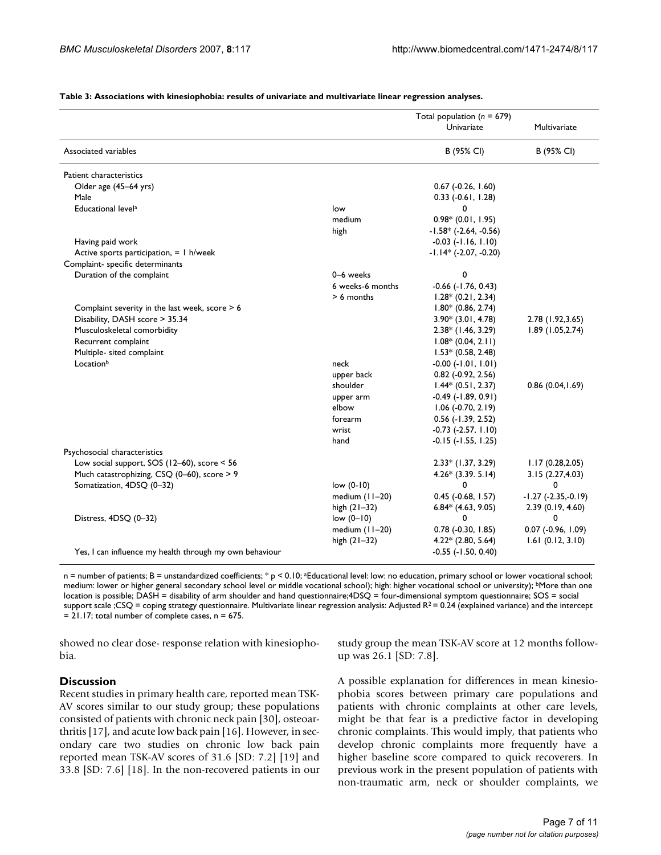|                                                         |                  | Total population ( $n = 679$ ) |                         |
|---------------------------------------------------------|------------------|--------------------------------|-------------------------|
|                                                         |                  | Univariate                     | Multivariate            |
| Associated variables                                    |                  | B (95% CI)                     | B (95% CI)              |
| Patient characteristics                                 |                  |                                |                         |
| Older age (45-64 yrs)                                   |                  | $0.67$ ( $-0.26$ , $1.60$ )    |                         |
| Male                                                    |                  | $0.33$ ( $-0.61$ , $1.28$ )    |                         |
| Educational level <sup>a</sup>                          | low              | 0                              |                         |
|                                                         | medium           | $0.98*$ (0.01, 1.95)           |                         |
|                                                         | high             | $-1.58*$ ( $-2.64$ , $-0.56$ ) |                         |
| Having paid work                                        |                  | $-0.03$ $(-1.16, 1.10)$        |                         |
| Active sports participation, = 1 h/week                 |                  | $-1.14*$ ( $-2.07$ , $-0.20$ ) |                         |
| Complaint- specific determinants                        |                  |                                |                         |
| Duration of the complaint                               | 0-6 weeks        | 0                              |                         |
|                                                         | 6 weeks-6 months | $-0.66$ $(-1.76, 0.43)$        |                         |
|                                                         | $> 6$ months     | $1.28*(0.21, 2.34)$            |                         |
| Complaint severity in the last week, score > 6          |                  | $1.80*$ (0.86, 2.74)           |                         |
| Disability, DASH score > 35.34                          |                  | $3.90*$ (3.01, 4.78)           | 2.78 (1.92,3.65)        |
| Musculoskeletal comorbidity                             |                  | $2.38*$ (1.46, 3.29)           | 1.89 (1.05,2.74)        |
| Recurrent complaint                                     |                  | $1.08*$ (0.04, 2.11)           |                         |
| Multiple- sited complaint                               |                  | $1.53*$ (0.58, 2.48)           |                         |
| Locationb                                               | neck             | $-0.00$ $(-1.01, 1.01)$        |                         |
|                                                         | upper back       | $0.82$ ( $-0.92$ , $2.56$ )    |                         |
|                                                         | shoulder         | $1.44*$ (0.51, 2.37)           | 0.86(0.04, 1.69)        |
|                                                         | upper arm        | $-0.49$ $(-1.89, 0.91)$        |                         |
|                                                         | elbow            | $1.06$ (-0.70, 2.19)           |                         |
|                                                         | forearm          | $0.56$ ( $-1.39$ , $2.52$ )    |                         |
|                                                         | wrist            | $-0.73$ $(-2.57, 1.10)$        |                         |
|                                                         | hand             | $-0.15$ ( $-1.55$ , $1.25$ )   |                         |
| Psychosocial characteristics                            |                  |                                |                         |
| Low social support, SOS (12-60), score < 56             |                  | $2.33*$ (1.37, 3.29)           | 1.17(0.28, 2.05)        |
| Much catastrophizing, CSQ (0-60), score > 9             |                  | $4.26*(3.39.5.14)$             | 3.15 (2.27,4.03)        |
| Somatization, 4DSQ (0-32)                               | $low (0-10)$     | 0                              | O                       |
|                                                         | medium $(11-20)$ | 0.45 (-0.68, 1.57)             | $-1.27$ $(-2.35,-0.19)$ |
|                                                         | high $(21-32)$   | $6.84*$ (4.63, 9.05)           | 2.39 (0.19, 4.60)       |
| Distress, 4DSQ (0-32)                                   | $low (0 - 10)$   | 0                              | 0                       |
|                                                         | medium $(11-20)$ | 0.78 (-0.30, 1.85)             | $0.07$ (-0.96, 1.09)    |
|                                                         | high (21-32)     | $4.22*$ (2.80, 5.64)           | 1.61(0.12, 3.10)        |
| Yes, I can influence my health through my own behaviour |                  | $-0.55$ ( $-1.50$ , $0.40$ )   |                         |

#### **Table 3: Associations with kinesiophobia: results of univariate and multivariate linear regression analyses.**

n = number of patients; B = unstandardized coefficients; \* p < 0.10; aEducational level: low: no education, primary school or lower vocational school; medium: lower or higher general secondary school level or middle vocational school); high: higher vocational school or university); bMore than one location is possible; DASH = disability of arm shoulder and hand questionnaire;4DSQ = four-dimensional symptom questionnaire; SOS = social support scale ;CSQ = coping strategy questionnaire. Multivariate linear regression analysis: Adjusted R<sup>2</sup> = 0.24 (explained variance) and the intercept  $= 21.17$ ; total number of complete cases,  $n = 675$ .

showed no clear dose- response relation with kinesiophobia.

#### **Discussion**

Recent studies in primary health care, reported mean TSK-AV scores similar to our study group; these populations consisted of patients with chronic neck pain [30], osteoarthritis [17], and acute low back pain [16]. However, in secondary care two studies on chronic low back pain reported mean TSK-AV scores of 31.6 [SD: 7.2] [19] and 33.8 [SD: 7.6] [18]. In the non-recovered patients in our study group the mean TSK-AV score at 12 months followup was 26.1 [SD: 7.8].

A possible explanation for differences in mean kinesiophobia scores between primary care populations and patients with chronic complaints at other care levels, might be that fear is a predictive factor in developing chronic complaints. This would imply, that patients who develop chronic complaints more frequently have a higher baseline score compared to quick recoverers. In previous work in the present population of patients with non-traumatic arm, neck or shoulder complaints, we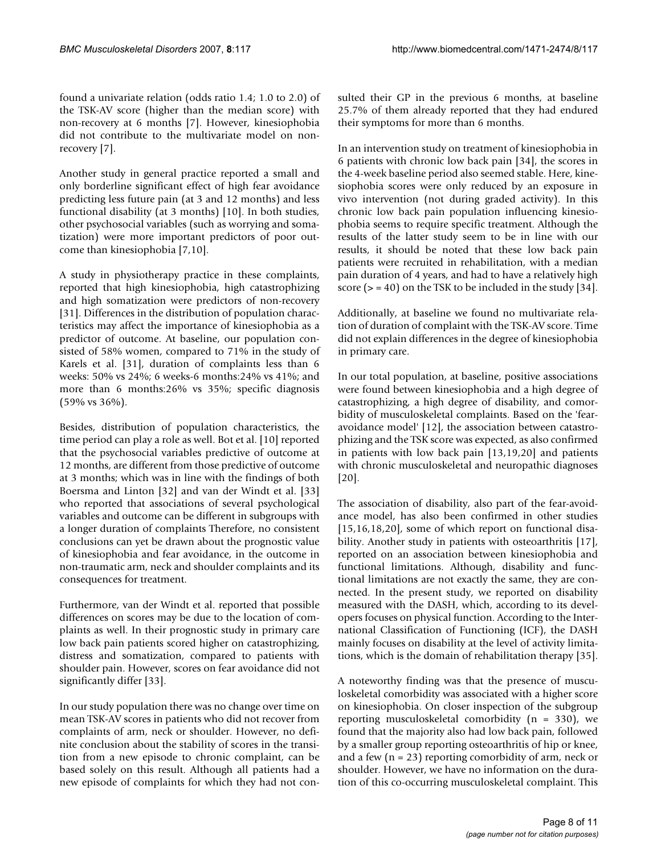found a univariate relation (odds ratio 1.4; 1.0 to 2.0) of the TSK-AV score (higher than the median score) with non-recovery at 6 months [7]. However, kinesiophobia did not contribute to the multivariate model on nonrecovery [7].

Another study in general practice reported a small and only borderline significant effect of high fear avoidance predicting less future pain (at 3 and 12 months) and less functional disability (at 3 months) [10]. In both studies, other psychosocial variables (such as worrying and somatization) were more important predictors of poor outcome than kinesiophobia [7,10].

A study in physiotherapy practice in these complaints, reported that high kinesiophobia, high catastrophizing and high somatization were predictors of non-recovery [31]. Differences in the distribution of population characteristics may affect the importance of kinesiophobia as a predictor of outcome. At baseline, our population consisted of 58% women, compared to 71% in the study of Karels et al. [31], duration of complaints less than 6 weeks: 50% vs 24%; 6 weeks-6 months:24% vs 41%; and more than 6 months:26% vs 35%; specific diagnosis (59% vs 36%).

Besides, distribution of population characteristics, the time period can play a role as well. Bot et al. [10] reported that the psychosocial variables predictive of outcome at 12 months, are different from those predictive of outcome at 3 months; which was in line with the findings of both Boersma and Linton [32] and van der Windt et al. [33] who reported that associations of several psychological variables and outcome can be different in subgroups with a longer duration of complaints Therefore, no consistent conclusions can yet be drawn about the prognostic value of kinesiophobia and fear avoidance, in the outcome in non-traumatic arm, neck and shoulder complaints and its consequences for treatment.

Furthermore, van der Windt et al. reported that possible differences on scores may be due to the location of complaints as well. In their prognostic study in primary care low back pain patients scored higher on catastrophizing, distress and somatization, compared to patients with shoulder pain. However, scores on fear avoidance did not significantly differ [33].

In our study population there was no change over time on mean TSK-AV scores in patients who did not recover from complaints of arm, neck or shoulder. However, no definite conclusion about the stability of scores in the transition from a new episode to chronic complaint, can be based solely on this result. Although all patients had a new episode of complaints for which they had not consulted their GP in the previous 6 months, at baseline 25.7% of them already reported that they had endured their symptoms for more than 6 months.

In an intervention study on treatment of kinesiophobia in 6 patients with chronic low back pain [34], the scores in the 4-week baseline period also seemed stable. Here, kinesiophobia scores were only reduced by an exposure in vivo intervention (not during graded activity). In this chronic low back pain population influencing kinesiophobia seems to require specific treatment. Although the results of the latter study seem to be in line with our results, it should be noted that these low back pain patients were recruited in rehabilitation, with a median pain duration of 4 years, and had to have a relatively high score  $(>= 40)$  on the TSK to be included in the study [34].

Additionally, at baseline we found no multivariate relation of duration of complaint with the TSK-AV score. Time did not explain differences in the degree of kinesiophobia in primary care.

In our total population, at baseline, positive associations were found between kinesiophobia and a high degree of catastrophizing, a high degree of disability, and comorbidity of musculoskeletal complaints. Based on the 'fearavoidance model' [12], the association between catastrophizing and the TSK score was expected, as also confirmed in patients with low back pain [13,19,20] and patients with chronic musculoskeletal and neuropathic diagnoses [20].

The association of disability, also part of the fear-avoidance model, has also been confirmed in other studies [15,16,18,20], some of which report on functional disability. Another study in patients with osteoarthritis [17], reported on an association between kinesiophobia and functional limitations. Although, disability and functional limitations are not exactly the same, they are connected. In the present study, we reported on disability measured with the DASH, which, according to its developers focuses on physical function. According to the International Classification of Functioning (ICF), the DASH mainly focuses on disability at the level of activity limitations, which is the domain of rehabilitation therapy [35].

A noteworthy finding was that the presence of musculoskeletal comorbidity was associated with a higher score on kinesiophobia. On closer inspection of the subgroup reporting musculoskeletal comorbidity (n = 330), we found that the majority also had low back pain, followed by a smaller group reporting osteoarthritis of hip or knee, and a few  $(n = 23)$  reporting comorbidity of arm, neck or shoulder. However, we have no information on the duration of this co-occurring musculoskeletal complaint. This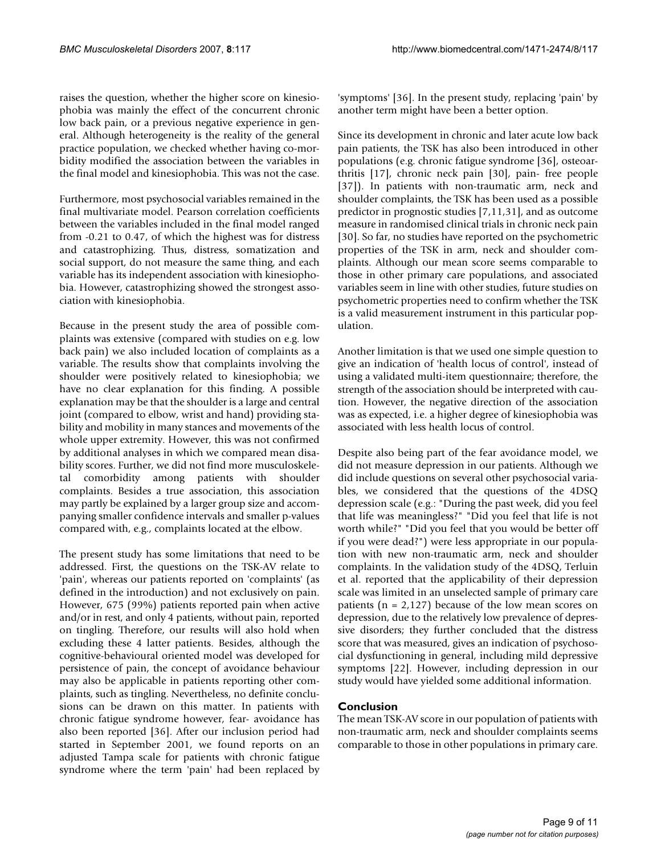raises the question, whether the higher score on kinesiophobia was mainly the effect of the concurrent chronic low back pain, or a previous negative experience in general. Although heterogeneity is the reality of the general practice population, we checked whether having co-morbidity modified the association between the variables in the final model and kinesiophobia. This was not the case.

Furthermore, most psychosocial variables remained in the final multivariate model. Pearson correlation coefficients between the variables included in the final model ranged from -0.21 to 0.47, of which the highest was for distress and catastrophizing. Thus, distress, somatization and social support, do not measure the same thing, and each variable has its independent association with kinesiophobia. However, catastrophizing showed the strongest association with kinesiophobia.

Because in the present study the area of possible complaints was extensive (compared with studies on e.g. low back pain) we also included location of complaints as a variable. The results show that complaints involving the shoulder were positively related to kinesiophobia; we have no clear explanation for this finding. A possible explanation may be that the shoulder is a large and central joint (compared to elbow, wrist and hand) providing stability and mobility in many stances and movements of the whole upper extremity. However, this was not confirmed by additional analyses in which we compared mean disability scores. Further, we did not find more musculoskeletal comorbidity among patients with shoulder complaints. Besides a true association, this association may partly be explained by a larger group size and accompanying smaller confidence intervals and smaller p-values compared with, e.g., complaints located at the elbow.

The present study has some limitations that need to be addressed. First, the questions on the TSK-AV relate to 'pain', whereas our patients reported on 'complaints' (as defined in the introduction) and not exclusively on pain. However, 675 (99%) patients reported pain when active and/or in rest, and only 4 patients, without pain, reported on tingling. Therefore, our results will also hold when excluding these 4 latter patients. Besides, although the cognitive-behavioural oriented model was developed for persistence of pain, the concept of avoidance behaviour may also be applicable in patients reporting other complaints, such as tingling. Nevertheless, no definite conclusions can be drawn on this matter. In patients with chronic fatigue syndrome however, fear- avoidance has also been reported [36]. After our inclusion period had started in September 2001, we found reports on an adjusted Tampa scale for patients with chronic fatigue syndrome where the term 'pain' had been replaced by 'symptoms' [36]. In the present study, replacing 'pain' by another term might have been a better option.

Since its development in chronic and later acute low back pain patients, the TSK has also been introduced in other populations (e.g. chronic fatigue syndrome [36], osteoarthritis [17], chronic neck pain [30], pain- free people [37]). In patients with non-traumatic arm, neck and shoulder complaints, the TSK has been used as a possible predictor in prognostic studies [7,11,31], and as outcome measure in randomised clinical trials in chronic neck pain [30]. So far, no studies have reported on the psychometric properties of the TSK in arm, neck and shoulder complaints. Although our mean score seems comparable to those in other primary care populations, and associated variables seem in line with other studies, future studies on psychometric properties need to confirm whether the TSK is a valid measurement instrument in this particular population.

Another limitation is that we used one simple question to give an indication of 'health locus of control', instead of using a validated multi-item questionnaire; therefore, the strength of the association should be interpreted with caution. However, the negative direction of the association was as expected, i.e. a higher degree of kinesiophobia was associated with less health locus of control.

Despite also being part of the fear avoidance model, we did not measure depression in our patients. Although we did include questions on several other psychosocial variables, we considered that the questions of the 4DSQ depression scale (e.g.: "During the past week, did you feel that life was meaningless?" "Did you feel that life is not worth while?" "Did you feel that you would be better off if you were dead?") were less appropriate in our population with new non-traumatic arm, neck and shoulder complaints. In the validation study of the 4DSQ, Terluin et al. reported that the applicability of their depression scale was limited in an unselected sample of primary care patients ( $n = 2,127$ ) because of the low mean scores on depression, due to the relatively low prevalence of depressive disorders; they further concluded that the distress score that was measured, gives an indication of psychosocial dysfunctioning in general, including mild depressive symptoms [22]. However, including depression in our study would have yielded some additional information.

## **Conclusion**

The mean TSK-AV score in our population of patients with non-traumatic arm, neck and shoulder complaints seems comparable to those in other populations in primary care.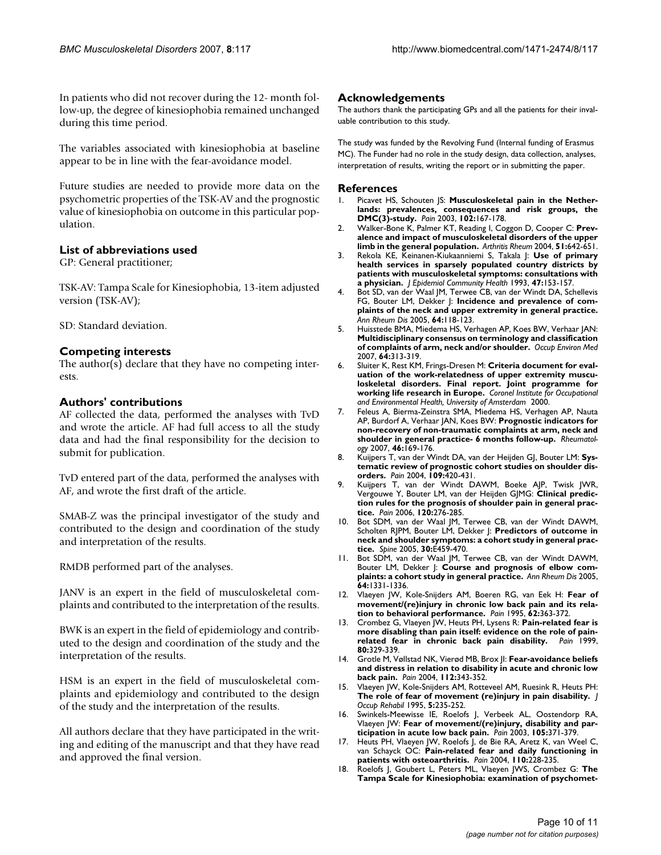In patients who did not recover during the 12- month follow-up, the degree of kinesiophobia remained unchanged during this time period.

The variables associated with kinesiophobia at baseline appear to be in line with the fear-avoidance model.

Future studies are needed to provide more data on the psychometric properties of the TSK-AV and the prognostic value of kinesiophobia on outcome in this particular population.

## **List of abbreviations used**

GP: General practitioner;

TSK-AV: Tampa Scale for Kinesiophobia, 13-item adjusted version (TSK-AV);

SD: Standard deviation.

#### **Competing interests**

The author(s) declare that they have no competing interests.

## **Authors' contributions**

AF collected the data, performed the analyses with TvD and wrote the article. AF had full access to all the study data and had the final responsibility for the decision to submit for publication.

TvD entered part of the data, performed the analyses with AF, and wrote the first draft of the article.

SMAB-Z was the principal investigator of the study and contributed to the design and coordination of the study and interpretation of the results.

RMDB performed part of the analyses.

JANV is an expert in the field of musculoskeletal complaints and contributed to the interpretation of the results.

BWK is an expert in the field of epidemiology and contributed to the design and coordination of the study and the interpretation of the results.

HSM is an expert in the field of musculoskeletal complaints and epidemiology and contributed to the design of the study and the interpretation of the results.

All authors declare that they have participated in the writing and editing of the manuscript and that they have read and approved the final version.

### **Acknowledgements**

The authors thank the participating GPs and all the patients for their invaluable contribution to this study.

The study was funded by the Revolving Fund (Internal funding of Erasmus MC). The Funder had no role in the study design, data collection, analyses, interpretation of results, writing the report or in submitting the paper.

#### **References**

- 1. Picavet HS, Schouten JS: **[Musculoskeletal pain in the Nether](http://www.ncbi.nlm.nih.gov/entrez/query.fcgi?cmd=Retrieve&db=PubMed&dopt=Abstract&list_uids=12620608)[lands: prevalences, consequences and risk groups, the](http://www.ncbi.nlm.nih.gov/entrez/query.fcgi?cmd=Retrieve&db=PubMed&dopt=Abstract&list_uids=12620608) [DMC\(3\)-study.](http://www.ncbi.nlm.nih.gov/entrez/query.fcgi?cmd=Retrieve&db=PubMed&dopt=Abstract&list_uids=12620608)** *Pain* 2003, **102:**167-178.
- 2. Walker-Bone K, Palmer KT, Reading I, Coggon D, Cooper C: **[Prev](http://www.ncbi.nlm.nih.gov/entrez/query.fcgi?cmd=Retrieve&db=PubMed&dopt=Abstract&list_uids=15334439)[alence and impact of musculoskeletal disorders of the upper](http://www.ncbi.nlm.nih.gov/entrez/query.fcgi?cmd=Retrieve&db=PubMed&dopt=Abstract&list_uids=15334439) [limb in the general population.](http://www.ncbi.nlm.nih.gov/entrez/query.fcgi?cmd=Retrieve&db=PubMed&dopt=Abstract&list_uids=15334439)** *Arthritis Rheum* 2004, **51:**642-651.
- 3. Rekola KE, Keinanen-Kiukaanniemi S, Takala J: **[Use of primary](http://www.ncbi.nlm.nih.gov/entrez/query.fcgi?cmd=Retrieve&db=PubMed&dopt=Abstract&list_uids=8326275) health services in sparsely populated country districts by [patients with musculoskeletal symptoms: consultations with](http://www.ncbi.nlm.nih.gov/entrez/query.fcgi?cmd=Retrieve&db=PubMed&dopt=Abstract&list_uids=8326275) [a physician.](http://www.ncbi.nlm.nih.gov/entrez/query.fcgi?cmd=Retrieve&db=PubMed&dopt=Abstract&list_uids=8326275)** *J Epidemiol Community Health* 1993, **47:**153-157.
- 4. Bot SD, van der Waal JM, Terwee CB, van der Windt DA, Schellevis FG, Bouter LM, Dekker J: **[Incidence and prevalence of com](http://www.ncbi.nlm.nih.gov/entrez/query.fcgi?cmd=Retrieve&db=PubMed&dopt=Abstract&list_uids=15608309)[plaints of the neck and upper extremity in general practice.](http://www.ncbi.nlm.nih.gov/entrez/query.fcgi?cmd=Retrieve&db=PubMed&dopt=Abstract&list_uids=15608309)** *Ann Rheum Dis* 2005, **64:**118-123.
- 5. Huisstede BMA, Miedema HS, Verhagen AP, Koes BW, Verhaar JAN: **[Multidisciplinary consensus on terminology and classification](http://www.ncbi.nlm.nih.gov/entrez/query.fcgi?cmd=Retrieve&db=PubMed&dopt=Abstract&list_uids=17043078) [of complaints of arm, neck and/or shoulder.](http://www.ncbi.nlm.nih.gov/entrez/query.fcgi?cmd=Retrieve&db=PubMed&dopt=Abstract&list_uids=17043078)** *Occup Environ Med* 2007, **64:**313-319.
- 6. Sluiter K, Rest KM, Frings-Dresen M: **Criteria document for evaluation of the work-relatedness of upper extremity musculoskeletal disorders. Final report. Joint programme for working life research in Europe.** *Coronel Institute for Occupational and Environmental Health, University of Amsterdam* 2000.
- 7. Feleus A, Bierma-Zeinstra SMA, Miedema HS, Verhagen AP, Nauta AP, Burdorf A, Verhaar JAN, Koes BW: **[Prognostic indicators for](http://www.ncbi.nlm.nih.gov/entrez/query.fcgi?cmd=Retrieve&db=PubMed&dopt=Abstract&list_uids=16799176) [non-recovery of non-traumatic complaints at arm, neck and](http://www.ncbi.nlm.nih.gov/entrez/query.fcgi?cmd=Retrieve&db=PubMed&dopt=Abstract&list_uids=16799176) [shoulder in general practice- 6 months follow-up.](http://www.ncbi.nlm.nih.gov/entrez/query.fcgi?cmd=Retrieve&db=PubMed&dopt=Abstract&list_uids=16799176)** *Rheumatology* 2007, **46:**169-176.
- 8. Kuijpers T, van der Windt DA, van der Heijden GJ, Bouter LM: **[Sys](http://www.ncbi.nlm.nih.gov/entrez/query.fcgi?cmd=Retrieve&db=PubMed&dopt=Abstract&list_uids=15157703)[tematic review of prognostic cohort studies on shoulder dis](http://www.ncbi.nlm.nih.gov/entrez/query.fcgi?cmd=Retrieve&db=PubMed&dopt=Abstract&list_uids=15157703)[orders.](http://www.ncbi.nlm.nih.gov/entrez/query.fcgi?cmd=Retrieve&db=PubMed&dopt=Abstract&list_uids=15157703)** *Pain* 2004, **109:**420-431.
- 9. Kuijpers T, van der Windt DAWM, Boeke AJP, Twisk JWR, Vergouwe Y, Bouter LM, van der Heijden GJMG: **[Clinical predic](http://www.ncbi.nlm.nih.gov/entrez/query.fcgi?cmd=Retrieve&db=PubMed&dopt=Abstract&list_uids=16426760)[tion rules for the prognosis of shoulder pain in general prac](http://www.ncbi.nlm.nih.gov/entrez/query.fcgi?cmd=Retrieve&db=PubMed&dopt=Abstract&list_uids=16426760)[tice.](http://www.ncbi.nlm.nih.gov/entrez/query.fcgi?cmd=Retrieve&db=PubMed&dopt=Abstract&list_uids=16426760)** *Pain* 2006, **120:**276-285.
- 10. Bot SDM, van der Waal JM, Terwee CB, van der Windt DAWM, Scholten RJPM, Bouter LM, Dekker |: **[Predictors of outcome in](http://www.ncbi.nlm.nih.gov/entrez/query.fcgi?cmd=Retrieve&db=PubMed&dopt=Abstract&list_uids=16103840) [neck and shoulder symptoms: a cohort study in general prac](http://www.ncbi.nlm.nih.gov/entrez/query.fcgi?cmd=Retrieve&db=PubMed&dopt=Abstract&list_uids=16103840)[tice.](http://www.ncbi.nlm.nih.gov/entrez/query.fcgi?cmd=Retrieve&db=PubMed&dopt=Abstract&list_uids=16103840)** *Spine* 2005, **30:**E459-470.
- 11. Bot SDM, van der Waal JM, Terwee CB, van der Windt DAWM, Bouter LM, Dekker |: [Course and prognosis of elbow com](http://www.ncbi.nlm.nih.gov/entrez/query.fcgi?cmd=Retrieve&db=PubMed&dopt=Abstract&list_uids=15708885)**[plaints: a cohort study in general practice.](http://www.ncbi.nlm.nih.gov/entrez/query.fcgi?cmd=Retrieve&db=PubMed&dopt=Abstract&list_uids=15708885)** *Ann Rheum Dis* 2005, **64:**1331-1336.
- 12. Vlaeyen JW, Kole-Snijders AM, Boeren RG, van Eek H: **[Fear of](http://www.ncbi.nlm.nih.gov/entrez/query.fcgi?cmd=Retrieve&db=PubMed&dopt=Abstract&list_uids=8657437) [movement/\(re\)injury in chronic low back pain and its rela](http://www.ncbi.nlm.nih.gov/entrez/query.fcgi?cmd=Retrieve&db=PubMed&dopt=Abstract&list_uids=8657437)[tion to behavioral performance.](http://www.ncbi.nlm.nih.gov/entrez/query.fcgi?cmd=Retrieve&db=PubMed&dopt=Abstract&list_uids=8657437)** *Pain* 1995, **62:**363-372.
- 13. Crombez G, Vlaeyen JW, Heuts PH, Lysens R: **[Pain-related fear is](http://www.ncbi.nlm.nih.gov/entrez/query.fcgi?cmd=Retrieve&db=PubMed&dopt=Abstract&list_uids=10204746) [more disabling than pain itself: evidence on the role of pain](http://www.ncbi.nlm.nih.gov/entrez/query.fcgi?cmd=Retrieve&db=PubMed&dopt=Abstract&list_uids=10204746)[related fear in chronic back pain disability.](http://www.ncbi.nlm.nih.gov/entrez/query.fcgi?cmd=Retrieve&db=PubMed&dopt=Abstract&list_uids=10204746)** *Pain* 1999, **80:**329-339.
- 14. Grotle M, Vøllstad NK, Vierød MB, Brox JI: **[Fear-avoidance beliefs](http://www.ncbi.nlm.nih.gov/entrez/query.fcgi?cmd=Retrieve&db=PubMed&dopt=Abstract&list_uids=15561390) [and distress in relation to disability in acute and chronic low](http://www.ncbi.nlm.nih.gov/entrez/query.fcgi?cmd=Retrieve&db=PubMed&dopt=Abstract&list_uids=15561390) [back pain.](http://www.ncbi.nlm.nih.gov/entrez/query.fcgi?cmd=Retrieve&db=PubMed&dopt=Abstract&list_uids=15561390)** *Pain* 2004, **112:**343-352.
- 15. Vlaeyen JW, Kole-Snijders AM, Rotteveel AM, Ruesink R, Heuts PH: **The role of fear of movement (re)injury in pain disability.** *J Occup Rehabil* 1995, **5:**235-252.
- 16. Swinkels-Meewisse IE, Roelofs J, Verbeek AL, Oostendorp RA, Vlaeyen JW: **[Fear of movement/\(re\)injury, disability and par](http://www.ncbi.nlm.nih.gov/entrez/query.fcgi?cmd=Retrieve&db=PubMed&dopt=Abstract&list_uids=14499456)[ticipation in acute low back pain.](http://www.ncbi.nlm.nih.gov/entrez/query.fcgi?cmd=Retrieve&db=PubMed&dopt=Abstract&list_uids=14499456)** *Pain* 2003, **105:**371-379.
- 17. Heuts PH, Vlaeyen JW, Roelofs J, de Bie RA, Aretz K, van Weel C, van Schayck OC: **[Pain-related fear and daily functioning in](http://www.ncbi.nlm.nih.gov/entrez/query.fcgi?cmd=Retrieve&db=PubMed&dopt=Abstract&list_uids=15275772) [patients with osteoarthritis.](http://www.ncbi.nlm.nih.gov/entrez/query.fcgi?cmd=Retrieve&db=PubMed&dopt=Abstract&list_uids=15275772)** *Pain* 2004, **110:**228-235.
- 18. Roelofs J, Goubert L, Peters ML, Vlaeyen JWS, Crombez G: **[The](http://www.ncbi.nlm.nih.gov/entrez/query.fcgi?cmd=Retrieve&db=PubMed&dopt=Abstract&list_uids=15324781) [Tampa Scale for Kinesiophobia: examination of psychomet](http://www.ncbi.nlm.nih.gov/entrez/query.fcgi?cmd=Retrieve&db=PubMed&dopt=Abstract&list_uids=15324781)-**